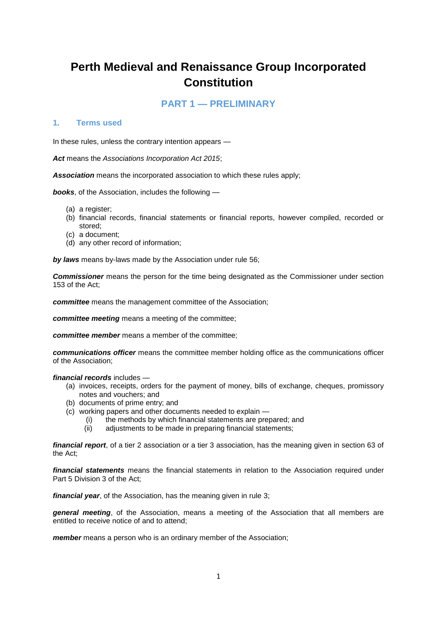# **Perth Medieval and Renaissance Group Incorporated Constitution**

# **PART 1 — PRELIMINARY**

### **1. Terms used**

In these rules, unless the contrary intention appears —

*Act* means the *Associations Incorporation Act 2015*;

*Association* means the incorporated association to which these rules apply;

*books*, of the Association, includes the following —

- (a) a register;
- (b) financial records, financial statements or financial reports, however compiled, recorded or stored;
- (c) a document;
- (d) any other record of information;

*by laws* means by-laws made by the Association under rule 56;

*Commissioner* means the person for the time being designated as the Commissioner under section 153 of the Act;

*committee* means the management committee of the Association;

*committee meeting* means a meeting of the committee;

*committee member* means a member of the committee;

*communications officer* means the committee member holding office as the communications officer of the Association;

*financial records* includes —

- (a) invoices, receipts, orders for the payment of money, bills of exchange, cheques, promissory notes and vouchers; and
- (b) documents of prime entry; and
- (c) working papers and other documents needed to explain
	- (i) the methods by which financial statements are prepared; and
	- (ii) adjustments to be made in preparing financial statements;

*financial report*, of a tier 2 association or a tier 3 association, has the meaning given in section 63 of the Act;

*financial statements* means the financial statements in relation to the Association required under Part 5 Division 3 of the Act;

*financial year*, of the Association, has the meaning given in rule 3;

*general meeting*, of the Association, means a meeting of the Association that all members are entitled to receive notice of and to attend;

*member* means a person who is an ordinary member of the Association;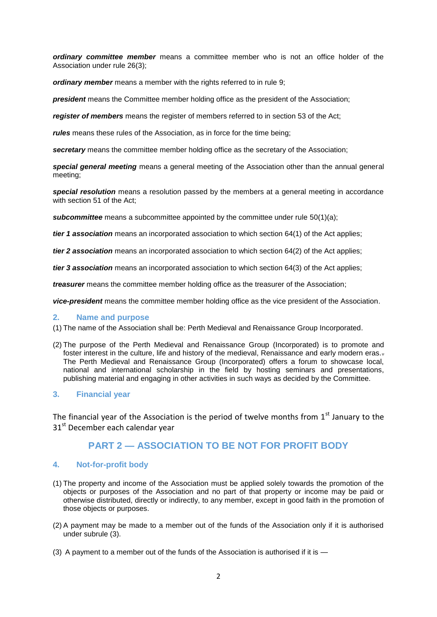*ordinary committee member* means a committee member who is not an office holder of the Association under rule 26(3);

*ordinary member* means a member with the rights referred to in rule 9;

**president** means the Committee member holding office as the president of the Association;

*register of members* means the register of members referred to in section 53 of the Act;

*rules* means these rules of the Association, as in force for the time being;

**secretary** means the committee member holding office as the secretary of the Association;

*special general meeting* means a general meeting of the Association other than the annual general meeting;

*special resolution* means a resolution passed by the members at a general meeting in accordance with section 51 of the Act;

**subcommittee** means a subcommittee appointed by the committee under rule 50(1)(a);

*tier 1 association* means an incorporated association to which section 64(1) of the Act applies;

*tier 2 association* means an incorporated association to which section 64(2) of the Act applies;

*tier 3 association* means an incorporated association to which section 64(3) of the Act applies;

*treasurer* means the committee member holding office as the treasurer of the Association;

*vice-president* means the committee member holding office as the vice president of the Association.

### **2. Name and purpose**

(1) The name of the Association shall be: Perth Medieval and Renaissance Group Incorporated.

(2) The purpose of the Perth Medieval and Renaissance Group (Incorporated) is to promote and foster interest in the culture, life and history of the medieval, Renaissance and early modern eras. The Perth Medieval and Renaissance Group (Incorporated) offers a forum to showcase local, national and international scholarship in the field by hosting seminars and presentations, publishing material and engaging in other activities in such ways as decided by the Committee.

### **3. Financial year**

The financial year of the Association is the period of twelve months from  $1<sup>st</sup>$  January to the 31st December each calendar year

# **PART 2 — ASSOCIATION TO BE NOT FOR PROFIT BODY**

### **4. Not-for-profit body**

- (1) The property and income of the Association must be applied solely towards the promotion of the objects or purposes of the Association and no part of that property or income may be paid or otherwise distributed, directly or indirectly, to any member, except in good faith in the promotion of those objects or purposes.
- (2) A payment may be made to a member out of the funds of the Association only if it is authorised under subrule (3).
- (3) A payment to a member out of the funds of the Association is authorised if it is —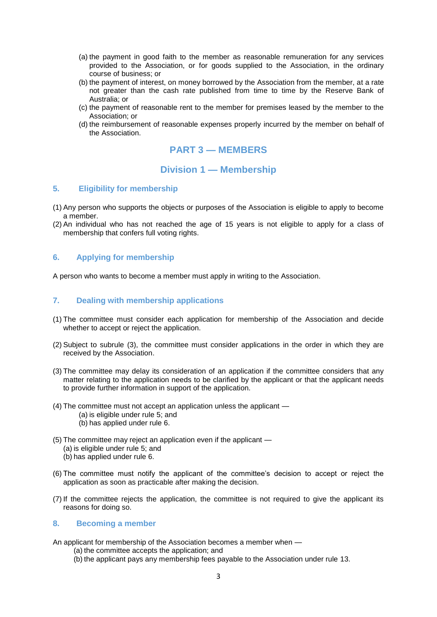- (a) the payment in good faith to the member as reasonable remuneration for any services provided to the Association, or for goods supplied to the Association, in the ordinary course of business; or
- (b) the payment of interest, on money borrowed by the Association from the member, at a rate not greater than the cash rate published from time to time by the Reserve Bank of Australia; or
- (c) the payment of reasonable rent to the member for premises leased by the member to the Association; or
- (d) the reimbursement of reasonable expenses properly incurred by the member on behalf of the Association.

# **PART 3 — MEMBERS**

# **Division 1 — Membership**

### **5. Eligibility for membership**

- (1) Any person who supports the objects or purposes of the Association is eligible to apply to become a member.
- (2) An individual who has not reached the age of 15 years is not eligible to apply for a class of membership that confers full voting rights.

#### **6. Applying for membership**

A person who wants to become a member must apply in writing to the Association.

### **7. Dealing with membership applications**

- (1) The committee must consider each application for membership of the Association and decide whether to accept or reject the application.
- (2) Subject to subrule (3), the committee must consider applications in the order in which they are received by the Association.
- (3) The committee may delay its consideration of an application if the committee considers that any matter relating to the application needs to be clarified by the applicant or that the applicant needs to provide further information in support of the application.
- (4) The committee must not accept an application unless the applicant (a) is eligible under rule 5; and (b) has applied under rule 6.
- (5) The committee may reject an application even if the applicant
	- (a) is eligible under rule 5; and
	- (b) has applied under rule 6.
- (6) The committee must notify the applicant of the committee's decision to accept or reject the application as soon as practicable after making the decision.
- (7) If the committee rejects the application, the committee is not required to give the applicant its reasons for doing so.

#### **8. Becoming a member**

An applicant for membership of the Association becomes a member when —

- (a) the committee accepts the application; and
- (b) the applicant pays any membership fees payable to the Association under rule 13.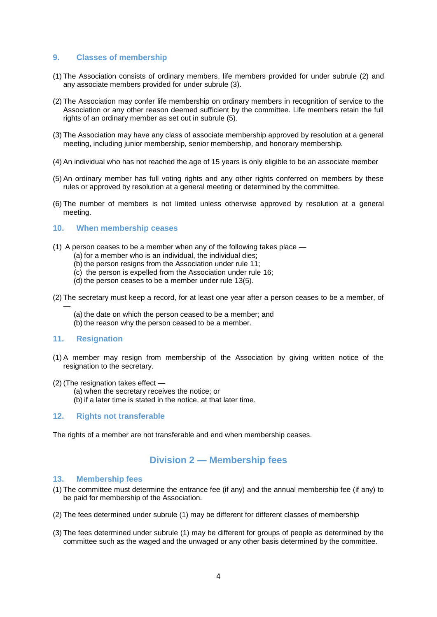### **9. Classes of membership**

- (1) The Association consists of ordinary members, life members provided for under subrule (2) and any associate members provided for under subrule (3).
- (2) The Association may confer life membership on ordinary members in recognition of service to the Association or any other reason deemed sufficient by the committee. Life members retain the full rights of an ordinary member as set out in subrule (5).
- (3) The Association may have any class of associate membership approved by resolution at a general meeting, including junior membership, senior membership, and honorary membership.
- (4) An individual who has not reached the age of 15 years is only eligible to be an associate member
- (5) An ordinary member has full voting rights and any other rights conferred on members by these rules or approved by resolution at a general meeting or determined by the committee.
- (6) The number of members is not limited unless otherwise approved by resolution at a general meeting.

#### **10. When membership ceases**

- (1) A person ceases to be a member when any of the following takes place
	- (a) for a member who is an individual, the individual dies;
	- (b) the person resigns from the Association under rule 11;
	- (c) the person is expelled from the Association under rule 16;
	- (d) the person ceases to be a member under rule 13(5).
- (2) The secretary must keep a record, for at least one year after a person ceases to be a member, of
	- (a) the date on which the person ceased to be a member; and
	- (b) the reason why the person ceased to be a member.

#### **11. Resignation**

—

- (1) A member may resign from membership of the Association by giving written notice of the resignation to the secretary.
- (2) (The resignation takes effect
	- (a) when the secretary receives the notice; or
	- (b) if a later time is stated in the notice, at that later time.

#### **12. Rights not transferable**

The rights of a member are not transferable and end when membership ceases.

# **Division 2 — M**e**mbership fees**

#### **13. Membership fees**

- (1) The committee must determine the entrance fee (if any) and the annual membership fee (if any) to be paid for membership of the Association.
- (2) The fees determined under subrule (1) may be different for different classes of membership
- (3) The fees determined under subrule (1) may be different for groups of people as determined by the committee such as the waged and the unwaged or any other basis determined by the committee.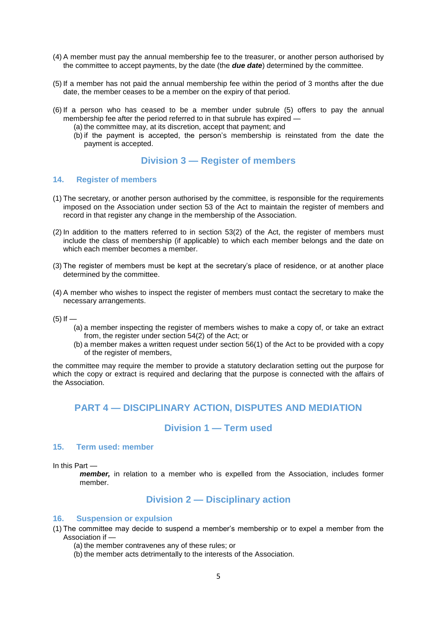- (4) A member must pay the annual membership fee to the treasurer, or another person authorised by the committee to accept payments, by the date (the *due date*) determined by the committee.
- (5) If a member has not paid the annual membership fee within the period of 3 months after the due date, the member ceases to be a member on the expiry of that period.
- (6) If a person who has ceased to be a member under subrule (5) offers to pay the annual membership fee after the period referred to in that subrule has expired —
	- (a) the committee may, at its discretion, accept that payment; and
	- (b) if the payment is accepted, the person's membership is reinstated from the date the payment is accepted.

# **Division 3 — Register of members**

#### **14. Register of members**

- (1) The secretary, or another person authorised by the committee, is responsible for the requirements imposed on the Association under section 53 of the Act to maintain the register of members and record in that register any change in the membership of the Association.
- (2) In addition to the matters referred to in section 53(2) of the Act, the register of members must include the class of membership (if applicable) to which each member belongs and the date on which each member becomes a member.
- (3) The register of members must be kept at the secretary's place of residence, or at another place determined by the committee.
- (4) A member who wishes to inspect the register of members must contact the secretary to make the necessary arrangements.
- $(5)$  If  $-$ 
	- (a) a member inspecting the register of members wishes to make a copy of, or take an extract from, the register under section 54(2) of the Act; or
	- (b) a member makes a written request under section 56(1) of the Act to be provided with a copy of the register of members,

the committee may require the member to provide a statutory declaration setting out the purpose for which the copy or extract is required and declaring that the purpose is connected with the affairs of the Association.

# **PART 4 — DISCIPLINARY ACTION, DISPUTES AND MEDIATION**

# **Division 1 — Term used**

### **15. Term used: member**

In this Part —

*member,* in relation to a member who is expelled from the Association, includes former member.

# **Division 2 — Disciplinary action**

#### **16. Suspension or expulsion**

- (1) The committee may decide to suspend a member's membership or to expel a member from the Association if —
	- (a) the member contravenes any of these rules; or
	- (b) the member acts detrimentally to the interests of the Association.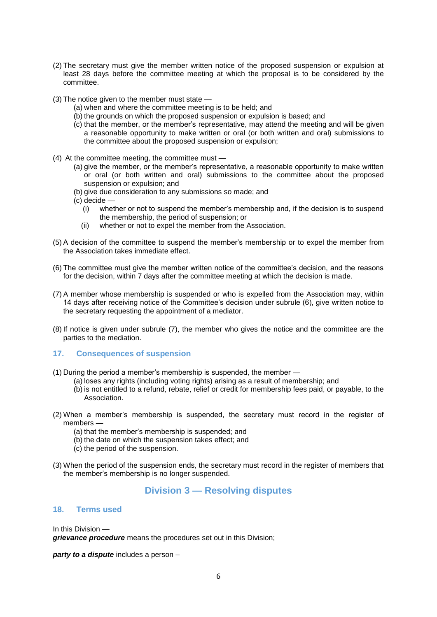- (2) The secretary must give the member written notice of the proposed suspension or expulsion at least 28 days before the committee meeting at which the proposal is to be considered by the committee.
- (3) The notice given to the member must state
	- (a) when and where the committee meeting is to be held; and
	- (b) the grounds on which the proposed suspension or expulsion is based; and
	- (c) that the member, or the member's representative, may attend the meeting and will be given a reasonable opportunity to make written or oral (or both written and oral) submissions to the committee about the proposed suspension or expulsion;
- (4) At the committee meeting, the committee must
	- (a) give the member, or the member's representative, a reasonable opportunity to make written or oral (or both written and oral) submissions to the committee about the proposed suspension or expulsion; and
	- (b) give due consideration to any submissions so made; and
	- $(c)$  decide
		- (i) whether or not to suspend the member's membership and, if the decision is to suspend the membership, the period of suspension; or
		- (ii) whether or not to expel the member from the Association.
- (5) A decision of the committee to suspend the member's membership or to expel the member from the Association takes immediate effect.
- (6) The committee must give the member written notice of the committee's decision, and the reasons for the decision, within 7 days after the committee meeting at which the decision is made.
- (7) A member whose membership is suspended or who is expelled from the Association may, within 14 days after receiving notice of the Committee's decision under subrule (6), give written notice to the secretary requesting the appointment of a mediator.
- (8) If notice is given under subrule (7), the member who gives the notice and the committee are the parties to the mediation.

### **17. Consequences of suspension**

- (1) During the period a member's membership is suspended, the member
	- (a) loses any rights (including voting rights) arising as a result of membership; and
		- (b) is not entitled to a refund, rebate, relief or credit for membership fees paid, or payable, to the Association.
- (2) When a member's membership is suspended, the secretary must record in the register of members —
	- (a) that the member's membership is suspended; and
	- (b) the date on which the suspension takes effect; and
	- (c) the period of the suspension.
- (3) When the period of the suspension ends, the secretary must record in the register of members that the member's membership is no longer suspended.

# **Division 3 — Resolving disputes**

#### **18. Terms used**

In this Division —

*grievance procedure* means the procedures set out in this Division;

*party to a dispute* includes a person –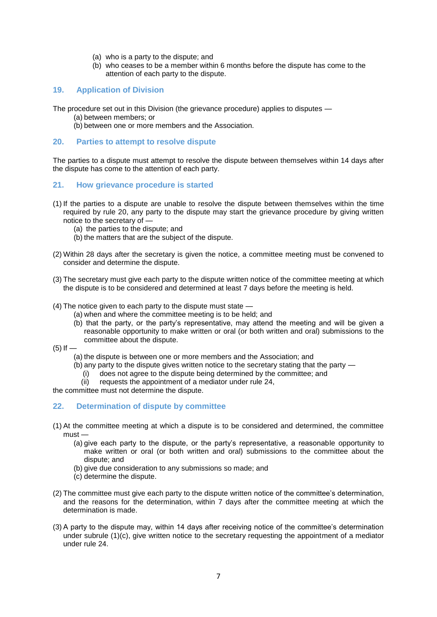- (a) who is a party to the dispute; and
- (b) who ceases to be a member within 6 months before the dispute has come to the attention of each party to the dispute.

# **19. Application of Division**

The procedure set out in this Division (the grievance procedure) applies to disputes —

- (a) between members; or
- (b) between one or more members and the Association.

#### **20. Parties to attempt to resolve dispute**

The parties to a dispute must attempt to resolve the dispute between themselves within 14 days after the dispute has come to the attention of each party.

- **21. How grievance procedure is started**
- (1) If the parties to a dispute are unable to resolve the dispute between themselves within the time required by rule 20, any party to the dispute may start the grievance procedure by giving written notice to the secretary of —
	- (a) the parties to the dispute; and
	- (b) the matters that are the subject of the dispute.
- (2) Within 28 days after the secretary is given the notice, a committee meeting must be convened to consider and determine the dispute.
- (3) The secretary must give each party to the dispute written notice of the committee meeting at which the dispute is to be considered and determined at least 7 days before the meeting is held.
- (4) The notice given to each party to the dispute must state
	- (a) when and where the committee meeting is to be held; and
	- (b) that the party, or the party's representative, may attend the meeting and will be given a reasonable opportunity to make written or oral (or both written and oral) submissions to the committee about the dispute.
- $(5)$  If  $-$ 
	- (a) the dispute is between one or more members and the Association; and
	- (b) any party to the dispute gives written notice to the secretary stating that the party
		- (i) does not agree to the dispute being determined by the committee; and
		- (ii) requests the appointment of a mediator under rule 24,

the committee must not determine the dispute.

### **22. Determination of dispute by committee**

- (1) At the committee meeting at which a dispute is to be considered and determined, the committee must —
	- (a) give each party to the dispute, or the party's representative, a reasonable opportunity to make written or oral (or both written and oral) submissions to the committee about the dispute; and
	- (b) give due consideration to any submissions so made; and
	- (c) determine the dispute.
- (2) The committee must give each party to the dispute written notice of the committee's determination, and the reasons for the determination, within 7 days after the committee meeting at which the determination is made.
- (3) A party to the dispute may, within 14 days after receiving notice of the committee's determination under subrule (1)(c), give written notice to the secretary requesting the appointment of a mediator under rule 24.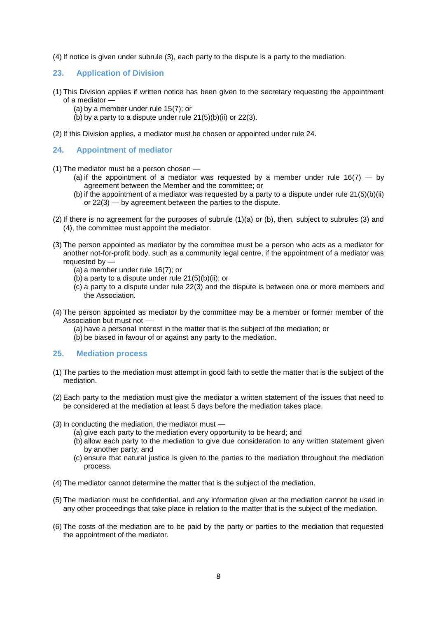(4) If notice is given under subrule (3), each party to the dispute is a party to the mediation.

### **23. Application of Division**

- (1) This Division applies if written notice has been given to the secretary requesting the appointment of a mediator —
	- (a) by a member under rule 15(7); or
	- (b) by a party to a dispute under rule  $21(5)(b)(ii)$  or  $22(3)$ .

(2) If this Division applies, a mediator must be chosen or appointed under rule 24.

## **24. Appointment of mediator**

- (1) The mediator must be a person chosen
	- (a) if the appointment of a mediator was requested by a member under rule  $16(7)$  by agreement between the Member and the committee; or
	- (b) if the appointment of a mediator was requested by a party to a dispute under rule  $21(5)(b)(ii)$ or 22(3) — by agreement between the parties to the dispute.
- (2) If there is no agreement for the purposes of subrule (1)(a) or (b), then, subject to subrules (3) and (4), the committee must appoint the mediator.
- (3) The person appointed as mediator by the committee must be a person who acts as a mediator for another not-for-profit body, such as a community legal centre, if the appointment of a mediator was requested by —
	- (a) a member under rule 16(7); or
	- $(b)$  a party to a dispute under rule 21(5)(b)(ii); or
	- (c) a party to a dispute under rule 22(3) and the dispute is between one or more members and the Association.
- (4) The person appointed as mediator by the committee may be a member or former member of the Association but must not —
	- (a) have a personal interest in the matter that is the subject of the mediation; or
	- (b) be biased in favour of or against any party to the mediation.

### **25. Mediation process**

- (1) The parties to the mediation must attempt in good faith to settle the matter that is the subject of the mediation.
- (2) Each party to the mediation must give the mediator a written statement of the issues that need to be considered at the mediation at least 5 days before the mediation takes place.
- (3) In conducting the mediation, the mediator must
	- (a) give each party to the mediation every opportunity to be heard; and
	- (b) allow each party to the mediation to give due consideration to any written statement given by another party; and
	- (c) ensure that natural justice is given to the parties to the mediation throughout the mediation process.
- (4) The mediator cannot determine the matter that is the subject of the mediation.
- (5) The mediation must be confidential, and any information given at the mediation cannot be used in any other proceedings that take place in relation to the matter that is the subject of the mediation.
- (6) The costs of the mediation are to be paid by the party or parties to the mediation that requested the appointment of the mediator.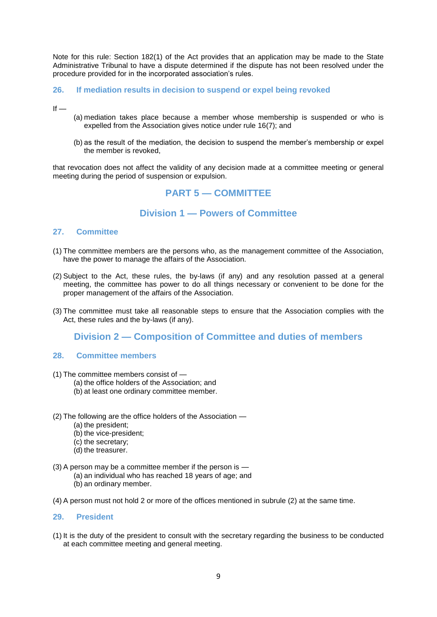Note for this rule: Section 182(1) of the Act provides that an application may be made to the State Administrative Tribunal to have a dispute determined if the dispute has not been resolved under the procedure provided for in the incorporated association's rules.

## **26. If mediation results in decision to suspend or expel being revoked**

 $If -$ 

- (a) mediation takes place because a member whose membership is suspended or who is expelled from the Association gives notice under rule 16(7); and
- (b) as the result of the mediation, the decision to suspend the member's membership or expel the member is revoked,

that revocation does not affect the validity of any decision made at a committee meeting or general meeting during the period of suspension or expulsion.

# **PART 5 — COMMITTEE**

# **Division 1 — Powers of Committee**

#### **27. Committee**

- (1) The committee members are the persons who, as the management committee of the Association, have the power to manage the affairs of the Association.
- (2) Subject to the Act, these rules, the by-laws (if any) and any resolution passed at a general meeting, the committee has power to do all things necessary or convenient to be done for the proper management of the affairs of the Association.
- (3) The committee must take all reasonable steps to ensure that the Association complies with the Act, these rules and the by-laws (if any).

# **Division 2 — Composition of Committee and duties of members**

#### **28. Committee members**

- (1) The committee members consist of
	- (a) the office holders of the Association; and
	- (b) at least one ordinary committee member.
- (2) The following are the office holders of the Association
	- (a) the president;
	- (b) the vice-president;
	- (c) the secretary;
	- (d) the treasurer.
- (3) A person may be a committee member if the person is
	- (a) an individual who has reached 18 years of age; and
	- (b) an ordinary member.
- (4) A person must not hold 2 or more of the offices mentioned in subrule (2) at the same time.

#### **29. President**

(1) It is the duty of the president to consult with the secretary regarding the business to be conducted at each committee meeting and general meeting.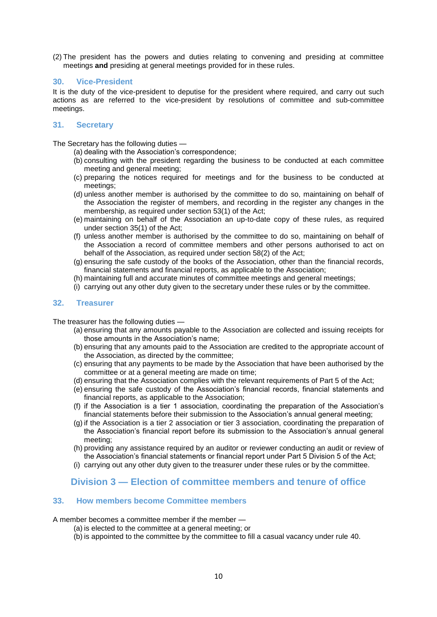(2) The president has the powers and duties relating to convening and presiding at committee meetings **and** presiding at general meetings provided for in these rules.

### **30. Vice-President**

It is the duty of the vice-president to deputise for the president where required, and carry out such actions as are referred to the vice-president by resolutions of committee and sub-committee meetings.

# **31. Secretary**

The Secretary has the following duties —

(a) dealing with the Association's correspondence;

- (b) consulting with the president regarding the business to be conducted at each committee meeting and general meeting;
- (c) preparing the notices required for meetings and for the business to be conducted at meetings;
- (d) unless another member is authorised by the committee to do so, maintaining on behalf of the Association the register of members, and recording in the register any changes in the membership, as required under section 53(1) of the Act;
- (e) maintaining on behalf of the Association an up-to-date copy of these rules, as required under section 35(1) of the Act;
- (f) unless another member is authorised by the committee to do so, maintaining on behalf of the Association a record of committee members and other persons authorised to act on behalf of the Association, as required under section 58(2) of the Act;
- (g) ensuring the safe custody of the books of the Association, other than the financial records, financial statements and financial reports, as applicable to the Association;
- (h) maintaining full and accurate minutes of committee meetings and general meetings;
- (i) carrying out any other duty given to the secretary under these rules or by the committee.

### **32. Treasurer**

The treasurer has the following duties —

- (a) ensuring that any amounts payable to the Association are collected and issuing receipts for those amounts in the Association's name;
- (b) ensuring that any amounts paid to the Association are credited to the appropriate account of the Association, as directed by the committee;
- (c) ensuring that any payments to be made by the Association that have been authorised by the committee or at a general meeting are made on time;
- (d) ensuring that the Association complies with the relevant requirements of Part 5 of the Act;
- (e) ensuring the safe custody of the Association's financial records, financial statements and financial reports, as applicable to the Association;
- (f) if the Association is a tier 1 association, coordinating the preparation of the Association's financial statements before their submission to the Association's annual general meeting;
- (g) if the Association is a tier 2 association or tier 3 association, coordinating the preparation of the Association's financial report before its submission to the Association's annual general meeting;
- (h) providing any assistance required by an auditor or reviewer conducting an audit or review of the Association's financial statements or financial report under Part 5 Division 5 of the Act;
- (i) carrying out any other duty given to the treasurer under these rules or by the committee.

# **Division 3 — Election of committee members and tenure of office**

# **33. How members become Committee members**

A member becomes a committee member if the member -

- (a) is elected to the committee at a general meeting; or
- (b) is appointed to the committee by the committee to fill a casual vacancy under rule 40.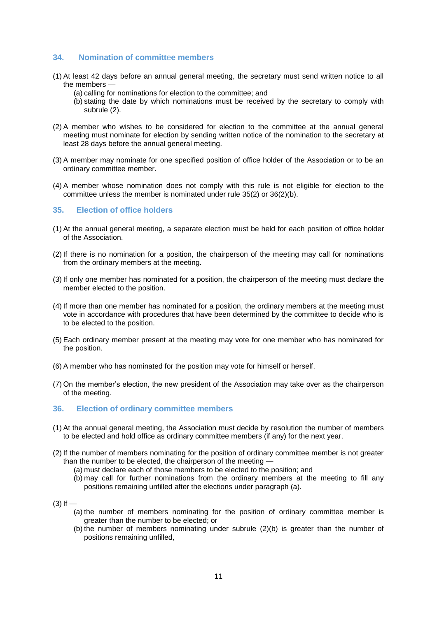# **34. Nomination of committ**e**e members**

- (1) At least 42 days before an annual general meeting, the secretary must send written notice to all the members —
	- (a) calling for nominations for election to the committee; and
	- (b) stating the date by which nominations must be received by the secretary to comply with subrule (2).
- (2) A member who wishes to be considered for election to the committee at the annual general meeting must nominate for election by sending written notice of the nomination to the secretary at least 28 days before the annual general meeting.
- (3) A member may nominate for one specified position of office holder of the Association or to be an ordinary committee member.
- (4) A member whose nomination does not comply with this rule is not eligible for election to the committee unless the member is nominated under rule 35(2) or 36(2)(b).

#### **35. Election of office holders**

- (1) At the annual general meeting, a separate election must be held for each position of office holder of the Association.
- (2) If there is no nomination for a position, the chairperson of the meeting may call for nominations from the ordinary members at the meeting.
- (3) If only one member has nominated for a position, the chairperson of the meeting must declare the member elected to the position.
- (4) If more than one member has nominated for a position, the ordinary members at the meeting must vote in accordance with procedures that have been determined by the committee to decide who is to be elected to the position.
- (5) Each ordinary member present at the meeting may vote for one member who has nominated for the position.
- (6) A member who has nominated for the position may vote for himself or herself.
- (7) On the member's election, the new president of the Association may take over as the chairperson of the meeting.
- **36. Election of ordinary committee members**
- (1) At the annual general meeting, the Association must decide by resolution the number of members to be elected and hold office as ordinary committee members (if any) for the next year.
- (2) If the number of members nominating for the position of ordinary committee member is not greater than the number to be elected, the chairperson of the meeting —
	- (a) must declare each of those members to be elected to the position; and
	- (b) may call for further nominations from the ordinary members at the meeting to fill any positions remaining unfilled after the elections under paragraph (a).
- $(3)$  If  $-$ 
	- (a) the number of members nominating for the position of ordinary committee member is greater than the number to be elected; or
	- (b) the number of members nominating under subrule (2)(b) is greater than the number of positions remaining unfilled,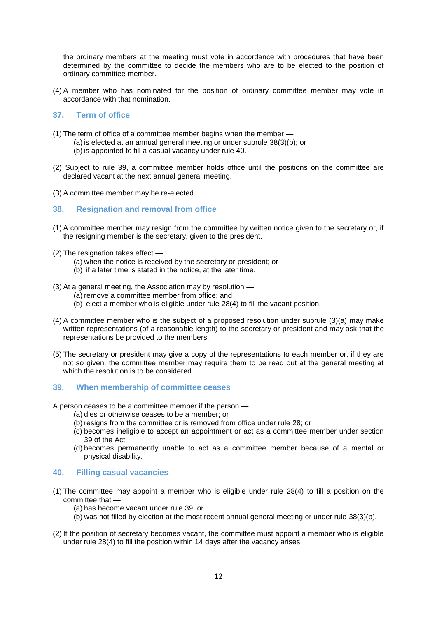the ordinary members at the meeting must vote in accordance with procedures that have been determined by the committee to decide the members who are to be elected to the position of ordinary committee member.

(4) A member who has nominated for the position of ordinary committee member may vote in accordance with that nomination.

### **37. Term of office**

- (1) The term of office of a committee member begins when the member
	- (a) is elected at an annual general meeting or under subrule 38(3)(b); or
	- (b) is appointed to fill a casual vacancy under rule 40.
- (2) Subject to rule 39, a committee member holds office until the positions on the committee are declared vacant at the next annual general meeting.
- (3) A committee member may be re-elected.
- **38. Resignation and removal from office**
- (1) A committee member may resign from the committee by written notice given to the secretary or, if the resigning member is the secretary, given to the president.
- (2) The resignation takes effect
	- (a) when the notice is received by the secretary or president; or
	- (b) if a later time is stated in the notice, at the later time.
- (3) At a general meeting, the Association may by resolution
	- (a) remove a committee member from office; and
	- (b) elect a member who is eligible under rule 28(4) to fill the vacant position.
- (4) A committee member who is the subject of a proposed resolution under subrule (3)(a) may make written representations (of a reasonable length) to the secretary or president and may ask that the representations be provided to the members.
- (5) The secretary or president may give a copy of the representations to each member or, if they are not so given, the committee member may require them to be read out at the general meeting at which the resolution is to be considered.

#### **39. When membership of committee ceases**

A person ceases to be a committee member if the person —

- (a) dies or otherwise ceases to be a member; or
- (b) resigns from the committee or is removed from office under rule 28; or
- (c) becomes ineligible to accept an appointment or act as a committee member under section 39 of the Act;
- (d) becomes permanently unable to act as a committee member because of a mental or physical disability.

### **40. Filling casual vacancies**

- (1) The committee may appoint a member who is eligible under rule 28(4) to fill a position on the committee that —
	- (a) has become vacant under rule 39; or
	- (b) was not filled by election at the most recent annual general meeting or under rule 38(3)(b).
- (2) If the position of secretary becomes vacant, the committee must appoint a member who is eligible under rule 28(4) to fill the position within 14 days after the vacancy arises.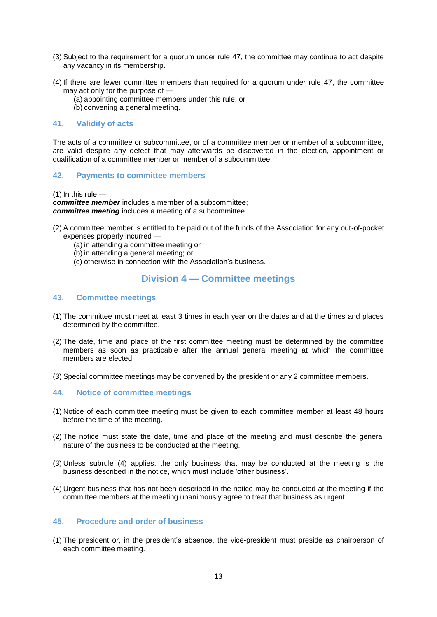- (3) Subject to the requirement for a quorum under rule 47, the committee may continue to act despite any vacancy in its membership.
- (4) If there are fewer committee members than required for a quorum under rule 47, the committee may act only for the purpose of —
	- (a) appointing committee members under this rule; or
	- (b) convening a general meeting.

#### **41. Validity of acts**

The acts of a committee or subcommittee, or of a committee member or member of a subcommittee, are valid despite any defect that may afterwards be discovered in the election, appointment or qualification of a committee member or member of a subcommittee.

### **42. Payments to committee members**

 $(1)$  In this rule  $-$ 

*committee member* includes a member of a subcommittee; *committee meeting* includes a meeting of a subcommittee.

- (2) A committee member is entitled to be paid out of the funds of the Association for any out-of-pocket expenses properly incurred —
	- (a) in attending a committee meeting or
	- (b) in attending a general meeting; or
	- (c) otherwise in connection with the Association's business.

# **Division 4 — Committee meetings**

### **43. Committee meetings**

- (1) The committee must meet at least 3 times in each year on the dates and at the times and places determined by the committee.
- (2) The date, time and place of the first committee meeting must be determined by the committee members as soon as practicable after the annual general meeting at which the committee members are elected.
- (3) Special committee meetings may be convened by the president or any 2 committee members.

# **44. Notice of committee meetings**

- (1) Notice of each committee meeting must be given to each committee member at least 48 hours before the time of the meeting.
- (2) The notice must state the date, time and place of the meeting and must describe the general nature of the business to be conducted at the meeting.
- (3) Unless subrule (4) applies, the only business that may be conducted at the meeting is the business described in the notice, which must include 'other business'.
- (4) Urgent business that has not been described in the notice may be conducted at the meeting if the committee members at the meeting unanimously agree to treat that business as urgent.

### **45. Procedure and order of business**

(1) The president or, in the president's absence, the vice-president must preside as chairperson of each committee meeting.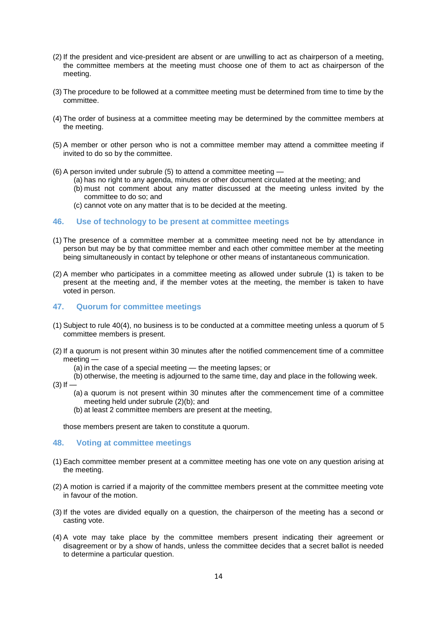- (2) If the president and vice-president are absent or are unwilling to act as chairperson of a meeting, the committee members at the meeting must choose one of them to act as chairperson of the meeting.
- (3) The procedure to be followed at a committee meeting must be determined from time to time by the committee.
- (4) The order of business at a committee meeting may be determined by the committee members at the meeting.
- (5) A member or other person who is not a committee member may attend a committee meeting if invited to do so by the committee.
- (6) A person invited under subrule (5) to attend a committee meeting
	- (a) has no right to any agenda, minutes or other document circulated at the meeting; and
	- (b) must not comment about any matter discussed at the meeting unless invited by the committee to do so; and
	- (c) cannot vote on any matter that is to be decided at the meeting.

#### **46. Use of technology to be present at committee meetings**

- (1) The presence of a committee member at a committee meeting need not be by attendance in person but may be by that committee member and each other committee member at the meeting being simultaneously in contact by telephone or other means of instantaneous communication.
- (2) A member who participates in a committee meeting as allowed under subrule (1) is taken to be present at the meeting and, if the member votes at the meeting, the member is taken to have voted in person.

#### **47. Quorum for committee meetings**

- (1) Subject to rule 40(4), no business is to be conducted at a committee meeting unless a quorum of 5 committee members is present.
- (2) If a quorum is not present within 30 minutes after the notified commencement time of a committee meeting —
	- (a) in the case of a special meeting the meeting lapses; or
	- (b) otherwise, the meeting is adjourned to the same time, day and place in the following week.
- $(3)$  If  $-$ 
	- (a) a quorum is not present within 30 minutes after the commencement time of a committee meeting held under subrule (2)(b); and
	- (b) at least 2 committee members are present at the meeting,

those members present are taken to constitute a quorum.

#### **48. Voting at committee meetings**

- (1) Each committee member present at a committee meeting has one vote on any question arising at the meeting.
- (2) A motion is carried if a majority of the committee members present at the committee meeting vote in favour of the motion.
- (3) If the votes are divided equally on a question, the chairperson of the meeting has a second or casting vote.
- (4) A vote may take place by the committee members present indicating their agreement or disagreement or by a show of hands, unless the committee decides that a secret ballot is needed to determine a particular question.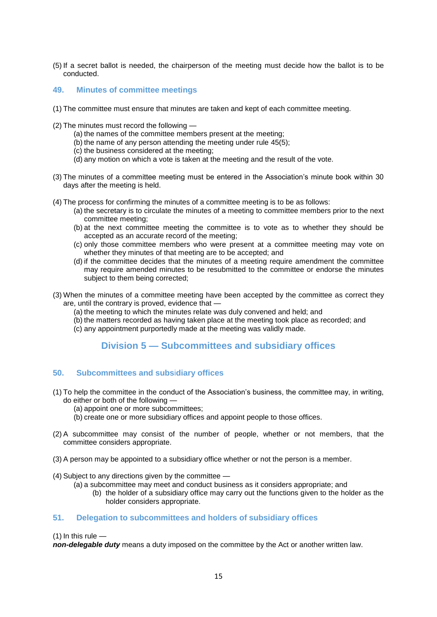(5) If a secret ballot is needed, the chairperson of the meeting must decide how the ballot is to be conducted.

### **49. Minutes of committee meetings**

- (1) The committee must ensure that minutes are taken and kept of each committee meeting.
- (2) The minutes must record the following
	- (a) the names of the committee members present at the meeting;
	- (b) the name of any person attending the meeting under rule 45(5);
	- (c) the business considered at the meeting;
	- (d) any motion on which a vote is taken at the meeting and the result of the vote.
- (3) The minutes of a committee meeting must be entered in the Association's minute book within 30 days after the meeting is held.
- (4) The process for confirming the minutes of a committee meeting is to be as follows:
	- (a) the secretary is to circulate the minutes of a meeting to committee members prior to the next committee meeting;
		- (b) at the next committee meeting the committee is to vote as to whether they should be accepted as an accurate record of the meeting;
		- (c) only those committee members who were present at a committee meeting may vote on whether they minutes of that meeting are to be accepted; and
		- (d) if the committee decides that the minutes of a meeting require amendment the committee may require amended minutes to be resubmitted to the committee or endorse the minutes subject to them being corrected;
- (3) When the minutes of a committee meeting have been accepted by the committee as correct they are, until the contrary is proved, evidence that —
	- (a) the meeting to which the minutes relate was duly convened and held; and
	- (b) the matters recorded as having taken place at the meeting took place as recorded; and
	- (c) any appointment purportedly made at the meeting was validly made.

# **Division 5 — Subcommittees and subsidiary offices**

# **50. Subcommittees and subs**i**diary offices**

- (1) To help the committee in the conduct of the Association's business, the committee may, in writing, do either or both of the following —
	- (a) appoint one or more subcommittees;
	- (b) create one or more subsidiary offices and appoint people to those offices.
- (2) A subcommittee may consist of the number of people, whether or not members, that the committee considers appropriate.
- (3) A person may be appointed to a subsidiary office whether or not the person is a member.
- (4) Subject to any directions given by the committee
	- (a) a subcommittee may meet and conduct business as it considers appropriate; and
		- (b) the holder of a subsidiary office may carry out the functions given to the holder as the holder considers appropriate.

### **51. Delegation to subcommittees and holders of subsidiary offices**

#### $(1)$  In this rule  $\overline{ }$

*non-delegable duty* means a duty imposed on the committee by the Act or another written law.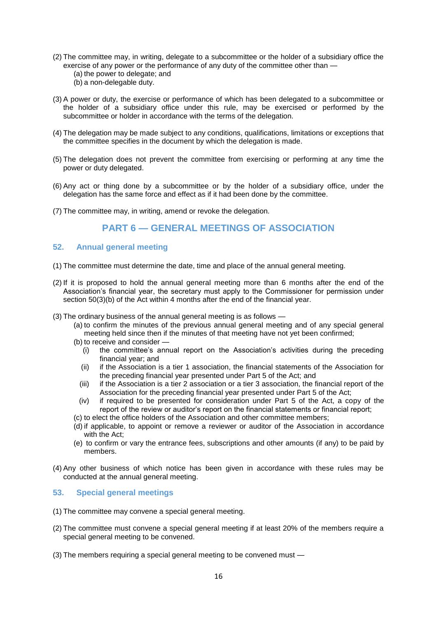- (2) The committee may, in writing, delegate to a subcommittee or the holder of a subsidiary office the exercise of any power or the performance of any duty of the committee other than — (a) the power to delegate; and
	- (b) a non-delegable duty.
- (3) A power or duty, the exercise or performance of which has been delegated to a subcommittee or the holder of a subsidiary office under this rule, may be exercised or performed by the subcommittee or holder in accordance with the terms of the delegation.
- (4) The delegation may be made subject to any conditions, qualifications, limitations or exceptions that the committee specifies in the document by which the delegation is made.
- (5) The delegation does not prevent the committee from exercising or performing at any time the power or duty delegated.
- (6) Any act or thing done by a subcommittee or by the holder of a subsidiary office, under the delegation has the same force and effect as if it had been done by the committee.
- (7) The committee may, in writing, amend or revoke the delegation.

# **PART 6 — GENERAL MEETINGS OF ASSOCIATION**

### **52. Annual general meeting**

- (1) The committee must determine the date, time and place of the annual general meeting.
- (2) If it is proposed to hold the annual general meeting more than 6 months after the end of the Association's financial year, the secretary must apply to the Commissioner for permission under section 50(3)(b) of the Act within 4 months after the end of the financial year.
- (3) The ordinary business of the annual general meeting is as follows
	- (a) to confirm the minutes of the previous annual general meeting and of any special general meeting held since then if the minutes of that meeting have not yet been confirmed;
	- (b) to receive and consider
		- (i) the committee's annual report on the Association's activities during the preceding financial year; and
		- (ii) if the Association is a tier 1 association, the financial statements of the Association for the preceding financial year presented under Part 5 of the Act; and
		- (iii) if the Association is a tier 2 association or a tier 3 association, the financial report of the Association for the preceding financial year presented under Part 5 of the Act;
		- (iv) if required to be presented for consideration under Part 5 of the Act, a copy of the report of the review or auditor's report on the financial statements or financial report;
	- (c) to elect the office holders of the Association and other committee members;
	- (d) if applicable, to appoint or remove a reviewer or auditor of the Association in accordance with the Act;
	- (e) to confirm or vary the entrance fees, subscriptions and other amounts (if any) to be paid by members.
- (4) Any other business of which notice has been given in accordance with these rules may be conducted at the annual general meeting.

# **53. Special general meetings**

- (1) The committee may convene a special general meeting.
- (2) The committee must convene a special general meeting if at least 20% of the members require a special general meeting to be convened.
- (3) The members requiring a special general meeting to be convened must —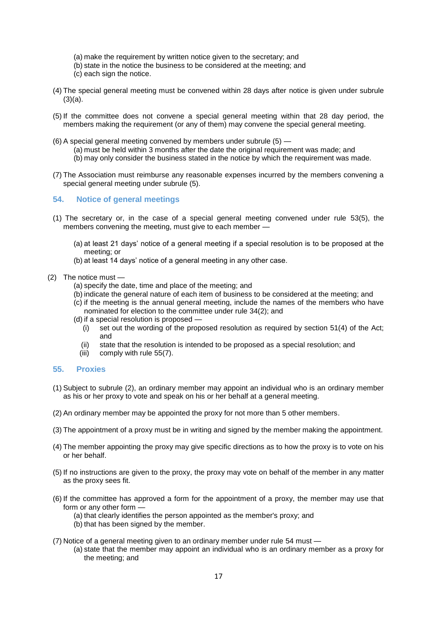- (a) make the requirement by written notice given to the secretary; and
- (b) state in the notice the business to be considered at the meeting; and
- (c) each sign the notice.
- (4) The special general meeting must be convened within 28 days after notice is given under subrule  $(3)(a)$ .
- (5) If the committee does not convene a special general meeting within that 28 day period, the members making the requirement (or any of them) may convene the special general meeting.
- (6) A special general meeting convened by members under subrule (5)
	- (a) must be held within 3 months after the date the original requirement was made; and
	- (b) may only consider the business stated in the notice by which the requirement was made.
- (7) The Association must reimburse any reasonable expenses incurred by the members convening a special general meeting under subrule (5).

#### **54. Notice of general meetings**

- (1) The secretary or, in the case of a special general meeting convened under rule 53(5), the members convening the meeting, must give to each member —
	- (a) at least 21 days' notice of a general meeting if a special resolution is to be proposed at the meeting; or
	- (b) at least 14 days' notice of a general meeting in any other case.

#### (2) The notice must —

- (a) specify the date, time and place of the meeting; and
- (b) indicate the general nature of each item of business to be considered at the meeting; and
- (c) if the meeting is the annual general meeting, include the names of the members who have nominated for election to the committee under rule 34(2); and
- $(d)$  if a special resolution is proposed  $\overline{d}$ 
	- (i) set out the wording of the proposed resolution as required by section 51(4) of the Act; and
	- (ii) state that the resolution is intended to be proposed as a special resolution; and
	- (iii) comply with rule 55(7).

#### **55. Proxies**

- (1) Subject to subrule (2), an ordinary member may appoint an individual who is an ordinary member as his or her proxy to vote and speak on his or her behalf at a general meeting.
- (2) An ordinary member may be appointed the proxy for not more than 5 other members.
- (3) The appointment of a proxy must be in writing and signed by the member making the appointment.
- (4) The member appointing the proxy may give specific directions as to how the proxy is to vote on his or her behalf.
- (5) If no instructions are given to the proxy, the proxy may vote on behalf of the member in any matter as the proxy sees fit.
- (6) If the committee has approved a form for the appointment of a proxy, the member may use that form or any other form —
	- (a) that clearly identifies the person appointed as the member's proxy; and
	- (b) that has been signed by the member.
- (7) Notice of a general meeting given to an ordinary member under rule 54 must
	- (a) state that the member may appoint an individual who is an ordinary member as a proxy for the meeting; and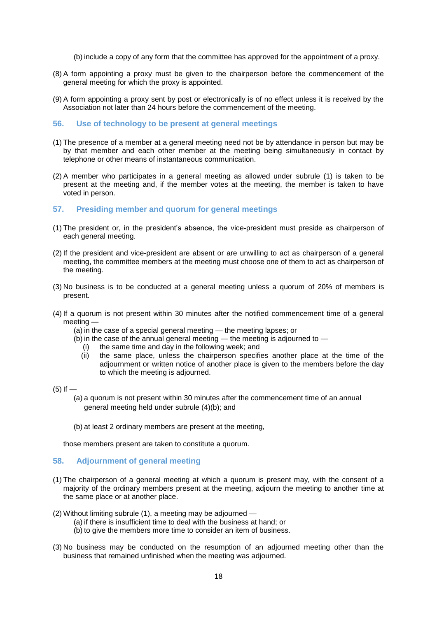(b) include a copy of any form that the committee has approved for the appointment of a proxy.

- (8) A form appointing a proxy must be given to the chairperson before the commencement of the general meeting for which the proxy is appointed.
- (9) A form appointing a proxy sent by post or electronically is of no effect unless it is received by the Association not later than 24 hours before the commencement of the meeting.

#### **56. Use of technology to be present at general meetings**

- (1) The presence of a member at a general meeting need not be by attendance in person but may be by that member and each other member at the meeting being simultaneously in contact by telephone or other means of instantaneous communication.
- (2) A member who participates in a general meeting as allowed under subrule (1) is taken to be present at the meeting and, if the member votes at the meeting, the member is taken to have voted in person.

# **57. Presiding member and quorum for general meetings**

- (1) The president or, in the president's absence, the vice-president must preside as chairperson of each general meeting.
- (2) If the president and vice-president are absent or are unwilling to act as chairperson of a general meeting, the committee members at the meeting must choose one of them to act as chairperson of the meeting.
- (3) No business is to be conducted at a general meeting unless a quorum of 20% of members is present.
- (4) If a quorum is not present within 30 minutes after the notified commencement time of a general meeting —
	- (a) in the case of a special general meeting the meeting lapses; or
	- $(b)$  in the case of the annual general meeting the meeting is adjourned to
		- (i) the same time and day in the following week; and
		- (ii) the same place, unless the chairperson specifies another place at the time of the adjournment or written notice of another place is given to the members before the day to which the meeting is adjourned.
- $(5)$  If  $-$ 
	- (a) a quorum is not present within 30 minutes after the commencement time of an annual general meeting held under subrule (4)(b); and
	- (b) at least 2 ordinary members are present at the meeting,

those members present are taken to constitute a quorum.

#### **58. Adjournment of general meeting**

- (1) The chairperson of a general meeting at which a quorum is present may, with the consent of a majority of the ordinary members present at the meeting, adjourn the meeting to another time at the same place or at another place.
- (2) Without limiting subrule (1), a meeting may be adjourned
	- (a) if there is insufficient time to deal with the business at hand; or
	- (b) to give the members more time to consider an item of business.
- (3) No business may be conducted on the resumption of an adjourned meeting other than the business that remained unfinished when the meeting was adjourned.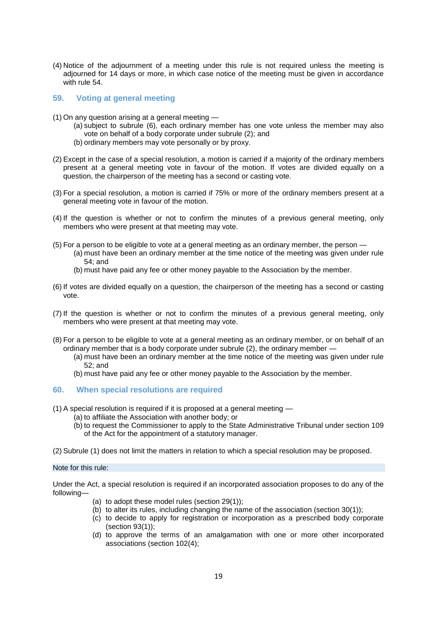(4) Notice of the adjournment of a meeting under this rule is not required unless the meeting is adjourned for 14 days or more, in which case notice of the meeting must be given in accordance with rule 54.

### **59. Voting at general meeting**

- (1) On any question arising at a general meeting
	- (a) subject to subrule (6), each ordinary member has one vote unless the member may also vote on behalf of a body corporate under subrule (2); and
	- (b) ordinary members may vote personally or by proxy.
- (2) Except in the case of a special resolution, a motion is carried if a majority of the ordinary members present at a general meeting vote in favour of the motion. If votes are divided equally on a question, the chairperson of the meeting has a second or casting vote.
- (3) For a special resolution, a motion is carried if 75% or more of the ordinary members present at a general meeting vote in favour of the motion.
- (4) If the question is whether or not to confirm the minutes of a previous general meeting, only members who were present at that meeting may vote.
- (5) For a person to be eligible to vote at a general meeting as an ordinary member, the person
	- (a) must have been an ordinary member at the time notice of the meeting was given under rule 54; and
	- (b) must have paid any fee or other money payable to the Association by the member.
- (6) If votes are divided equally on a question, the chairperson of the meeting has a second or casting vote.
- (7) If the question is whether or not to confirm the minutes of a previous general meeting, only members who were present at that meeting may vote.
- (8) For a person to be eligible to vote at a general meeting as an ordinary member, or on behalf of an ordinary member that is a body corporate under subrule (2), the ordinary member —
	- (a) must have been an ordinary member at the time notice of the meeting was given under rule 52; and
	- (b) must have paid any fee or other money payable to the Association by the member.

#### **60. When special resolutions are required**

- (1) A special resolution is required if it is proposed at a general meeting
	- (a) to affiliate the Association with another body; or
	- (b) to request the Commissioner to apply to the State Administrative Tribunal under section 109 of the Act for the appointment of a statutory manager.
- (2) Subrule (1) does not limit the matters in relation to which a special resolution may be proposed.

Note for this rule:

Under the Act, a special resolution is required if an incorporated association proposes to do any of the following—

- (a) to adopt these model rules (section 29(1));
- (b) to alter its rules, including changing the name of the association (section 30(1));
- (c) to decide to apply for registration or incorporation as a prescribed body corporate (section 93(1));
- (d) to approve the terms of an amalgamation with one or more other incorporated associations (section 102(4);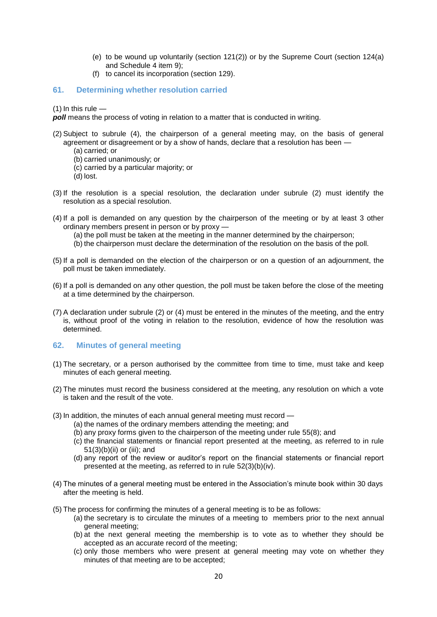- (e) to be wound up voluntarily (section 121(2)) or by the Supreme Court (section 124(a) and Schedule 4 item 9);
- (f) to cancel its incorporation (section 129).

### **61. Determining whether resolution carried**

(1) In this rule  $-$ 

*poll* means the process of voting in relation to a matter that is conducted in writing.

- (2) Subject to subrule (4), the chairperson of a general meeting may, on the basis of general agreement or disagreement or by a show of hands, declare that a resolution has been —
	- (a) carried; or
	- (b) carried unanimously; or
	- (c) carried by a particular majority; or
	- (d) lost.
- (3) If the resolution is a special resolution, the declaration under subrule (2) must identify the resolution as a special resolution.
- (4) If a poll is demanded on any question by the chairperson of the meeting or by at least 3 other ordinary members present in person or by proxy —
	- (a) the poll must be taken at the meeting in the manner determined by the chairperson;
	- (b) the chairperson must declare the determination of the resolution on the basis of the poll.
- (5) If a poll is demanded on the election of the chairperson or on a question of an adjournment, the poll must be taken immediately.
- (6) If a poll is demanded on any other question, the poll must be taken before the close of the meeting at a time determined by the chairperson.
- (7) A declaration under subrule (2) or (4) must be entered in the minutes of the meeting, and the entry is, without proof of the voting in relation to the resolution, evidence of how the resolution was determined.

#### **62. Minutes of general meeting**

- (1) The secretary, or a person authorised by the committee from time to time, must take and keep minutes of each general meeting.
- (2) The minutes must record the business considered at the meeting, any resolution on which a vote is taken and the result of the vote.
- (3) In addition, the minutes of each annual general meeting must record
	- (a) the names of the ordinary members attending the meeting; and
	- (b) any proxy forms given to the chairperson of the meeting under rule 55(8); and
	- (c) the financial statements or financial report presented at the meeting, as referred to in rule 51(3)(b)(ii) or (iii); and
	- (d) any report of the review or auditor's report on the financial statements or financial report presented at the meeting, as referred to in rule 52(3)(b)(iv).
- (4) The minutes of a general meeting must be entered in the Association's minute book within 30 days after the meeting is held.
- (5) The process for confirming the minutes of a general meeting is to be as follows:
	- (a) the secretary is to circulate the minutes of a meeting to members prior to the next annual general meeting;
	- (b) at the next general meeting the membership is to vote as to whether they should be accepted as an accurate record of the meeting;
	- (c) only those members who were present at general meeting may vote on whether they minutes of that meeting are to be accepted;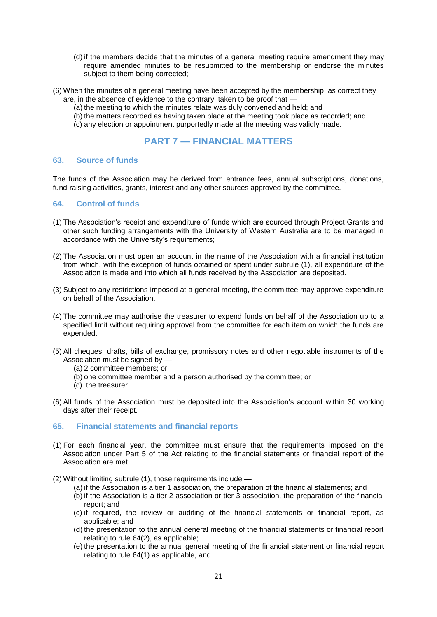- (d) if the members decide that the minutes of a general meeting require amendment they may require amended minutes to be resubmitted to the membership or endorse the minutes subject to them being corrected;
- (6) When the minutes of a general meeting have been accepted by the membership as correct they are, in the absence of evidence to the contrary, taken to be proof that —
	- (a) the meeting to which the minutes relate was duly convened and held; and
	- (b) the matters recorded as having taken place at the meeting took place as recorded; and
	- (c) any election or appointment purportedly made at the meeting was validly made.

# **PART 7 — FINANCIAL MATTERS**

#### **63. Source of funds**

The funds of the Association may be derived from entrance fees, annual subscriptions, donations, fund-raising activities, grants, interest and any other sources approved by the committee.

### **64. Control of funds**

- (1) The Association's receipt and expenditure of funds which are sourced through Project Grants and other such funding arrangements with the University of Western Australia are to be managed in accordance with the University's requirements;
- (2) The Association must open an account in the name of the Association with a financial institution from which, with the exception of funds obtained or spent under subrule (1), all expenditure of the Association is made and into which all funds received by the Association are deposited.
- (3) Subject to any restrictions imposed at a general meeting, the committee may approve expenditure on behalf of the Association.
- (4) The committee may authorise the treasurer to expend funds on behalf of the Association up to a specified limit without requiring approval from the committee for each item on which the funds are expended.
- (5) All cheques, drafts, bills of exchange, promissory notes and other negotiable instruments of the Association must be signed by —
	- (a) 2 committee members; or
	- (b) one committee member and a person authorised by the committee; or
	- (c) the treasurer.
- (6) All funds of the Association must be deposited into the Association's account within 30 working days after their receipt.
- **65. Financial statements and financial reports**
- (1) For each financial year, the committee must ensure that the requirements imposed on the Association under Part 5 of the Act relating to the financial statements or financial report of the Association are met.
- (2) Without limiting subrule (1), those requirements include
	- (a) if the Association is a tier 1 association, the preparation of the financial statements; and
	- (b) if the Association is a tier 2 association or tier 3 association, the preparation of the financial report; and
	- (c) if required, the review or auditing of the financial statements or financial report, as applicable; and
	- (d) the presentation to the annual general meeting of the financial statements or financial report relating to rule 64(2), as applicable;
	- (e) the presentation to the annual general meeting of the financial statement or financial report relating to rule 64(1) as applicable, and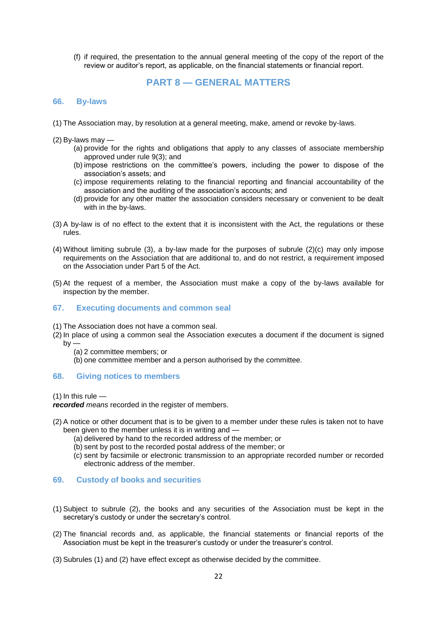(f) if required, the presentation to the annual general meeting of the copy of the report of the review or auditor's report, as applicable, on the financial statements or financial report.

# **PART 8 — GENERAL MATTERS**

### **66. By-laws**

- (1) The Association may, by resolution at a general meeting, make, amend or revoke by-laws.
- (2) By-laws may
	- (a) provide for the rights and obligations that apply to any classes of associate membership approved under rule 9(3); and
	- (b) impose restrictions on the committee's powers, including the power to dispose of the association's assets; and
	- (c) impose requirements relating to the financial reporting and financial accountability of the association and the auditing of the association's accounts; and
	- (d) provide for any other matter the association considers necessary or convenient to be dealt with in the by-laws.
- (3) A by-law is of no effect to the extent that it is inconsistent with the Act, the regulations or these rules.
- (4) Without limiting subrule (3), a by-law made for the purposes of subrule (2)(c) may only impose requirements on the Association that are additional to, and do not restrict, a requirement imposed on the Association under Part 5 of the Act.
- (5) At the request of a member, the Association must make a copy of the by-laws available for inspection by the member.

#### **67. Executing documents and common seal**

- (1) The Association does not have a common seal.
- (2) In place of using a common seal the Association executes a document if the document is signed  $by -$ 
	- (a) 2 committee members; or

(b) one committee member and a person authorised by the committee.

#### **68. Giving notices to members**

 $(1)$  In this rule —

*recorded means* recorded in the register of members.

- (2) A notice or other document that is to be given to a member under these rules is taken not to have been given to the member unless it is in writing and —
	- (a) delivered by hand to the recorded address of the member; or
	- (b) sent by post to the recorded postal address of the member; or
	- (c) sent by facsimile or electronic transmission to an appropriate recorded number or recorded electronic address of the member.

#### **69. Custody of books and securities**

- (1) Subject to subrule (2), the books and any securities of the Association must be kept in the secretary's custody or under the secretary's control.
- (2) The financial records and, as applicable, the financial statements or financial reports of the Association must be kept in the treasurer's custody or under the treasurer's control.
- (3) Subrules (1) and (2) have effect except as otherwise decided by the committee.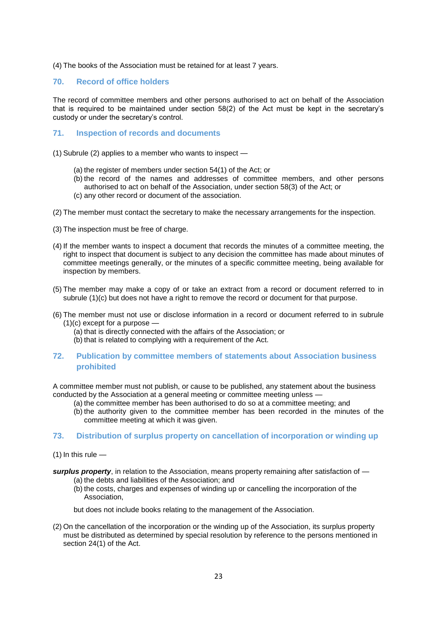(4) The books of the Association must be retained for at least 7 years.

### **70. Record of office holders**

The record of committee members and other persons authorised to act on behalf of the Association that is required to be maintained under section 58(2) of the Act must be kept in the secretary's custody or under the secretary's control.

## **71. Inspection of records and documents**

- (1) Subrule (2) applies to a member who wants to inspect
	- (a) the register of members under section 54(1) of the Act; or
	- (b) the record of the names and addresses of committee members, and other persons authorised to act on behalf of the Association, under section 58(3) of the Act; or
	- (c) any other record or document of the association.
- (2) The member must contact the secretary to make the necessary arrangements for the inspection.
- (3) The inspection must be free of charge.
- (4) If the member wants to inspect a document that records the minutes of a committee meeting, the right to inspect that document is subject to any decision the committee has made about minutes of committee meetings generally, or the minutes of a specific committee meeting, being available for inspection by members.
- (5) The member may make a copy of or take an extract from a record or document referred to in subrule (1)(c) but does not have a right to remove the record or document for that purpose.
- (6) The member must not use or disclose information in a record or document referred to in subrule  $(1)(c)$  except for a purpose  $-$ 
	- (a) that is directly connected with the affairs of the Association; or
	- (b) that is related to complying with a requirement of the Act.
- **72. Publication by committee members of statements about Association business prohibited**

A committee member must not publish, or cause to be published, any statement about the business conducted by the Association at a general meeting or committee meeting unless —

- (a) the committee member has been authorised to do so at a committee meeting; and
- (b) the authority given to the committee member has been recorded in the minutes of the committee meeting at which it was given.

### **73. Distribution of surplus property on cancellation of incorporation or winding up**

- $(1)$  In this rule  $-$
- *surplus property*, in relation to the Association, means property remaining after satisfaction of (a) the debts and liabilities of the Association; and
	- (b) the costs, charges and expenses of winding up or cancelling the incorporation of the Association,

but does not include books relating to the management of the Association.

(2) On the cancellation of the incorporation or the winding up of the Association, its surplus property must be distributed as determined by special resolution by reference to the persons mentioned in section 24(1) of the Act.